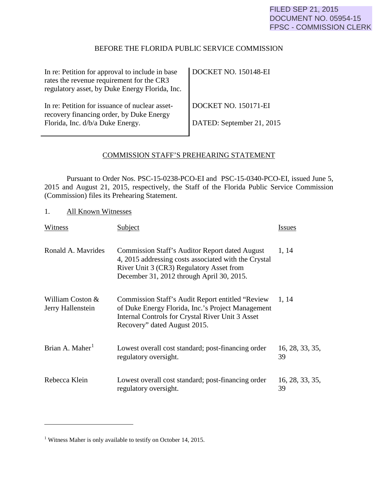# BEFORE THE FLORIDA PUBLIC SERVICE COMMISSION

<span id="page-0-1"></span>

| In re: Petition for approval to include in base<br>rates the revenue requirement for the CR3<br>regulatory asset, by Duke Energy Florida, Inc. | DOCKET NO. 150148-EI                              |
|------------------------------------------------------------------------------------------------------------------------------------------------|---------------------------------------------------|
| In re: Petition for issuance of nuclear asset-<br>recovery financing order, by Duke Energy<br>Florida, Inc. d/b/a Duke Energy.                 | DOCKET NO. 150171-EI<br>DATED: September 21, 2015 |

### COMMISSION STAFF'S PREHEARING STATEMENT

Pursuant to Order Nos. PSC-15-0238-PCO-EI and PSC-15-0340-PCO-EI, issued June 5, 2015 and August 21, 2015, respectively, the Staff of the Florida Public Service Commission (Commission) files its Prehearing Statement.

1. All Known Witnesses

| Witness                               | Subject                                                                                                                                                                                                | <i><u><b>Issues</b></u></i> |
|---------------------------------------|--------------------------------------------------------------------------------------------------------------------------------------------------------------------------------------------------------|-----------------------------|
| Ronald A. Mayrides                    | <b>Commission Staff's Auditor Report dated August</b><br>4, 2015 addressing costs associated with the Crystal<br>River Unit 3 (CR3) Regulatory Asset from<br>December 31, 2012 through April 30, 2015. | 1, 14                       |
| William Coston &<br>Jerry Hallenstein | Commission Staff's Audit Report entitled "Review"<br>of Duke Energy Florida, Inc.'s Project Management<br>Internal Controls for Crystal River Unit 3 Asset<br>Recovery" dated August 2015.             | 1, 14                       |
| Brian A. Maher <sup>1</sup>           | Lowest overall cost standard; post-financing order<br>regulatory oversight.                                                                                                                            | 16, 28, 33, 35,<br>39       |
| Rebecca Klein                         | Lowest overall cost standard; post-financing order<br>regulatory oversight.                                                                                                                            | 16, 28, 33, 35,<br>39       |

 $\overline{a}$ 

<span id="page-0-0"></span><sup>&</sup>lt;sup>1</sup> Witness Maher is only available to testify on October 14, 2015.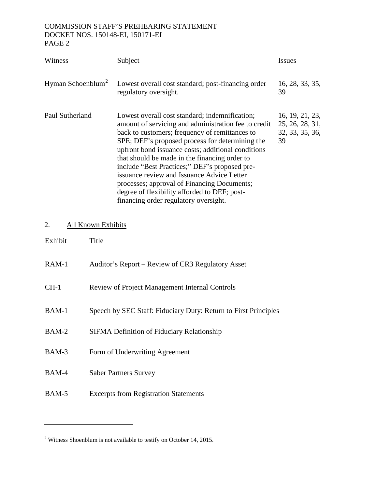| Witness                       | Subject                                                                                                                                                                                                                                                                                                                                                                                                                                                                                                                                                   | <b>Issues</b>                                               |
|-------------------------------|-----------------------------------------------------------------------------------------------------------------------------------------------------------------------------------------------------------------------------------------------------------------------------------------------------------------------------------------------------------------------------------------------------------------------------------------------------------------------------------------------------------------------------------------------------------|-------------------------------------------------------------|
| Hyman Schoenblum <sup>2</sup> | Lowest overall cost standard; post-financing order<br>regulatory oversight.                                                                                                                                                                                                                                                                                                                                                                                                                                                                               | 16, 28, 33, 35,<br>39                                       |
| Paul Sutherland               | Lowest overall cost standard; indemnification;<br>amount of servicing and administration fee to credit<br>back to customers; frequency of remittances to<br>SPE; DEF's proposed process for determining the<br>upfront bond issuance costs; additional conditions<br>that should be made in the financing order to<br>include "Best Practices;" DEF's proposed pre-<br>issuance review and Issuance Advice Letter<br>processes; approval of Financing Documents;<br>degree of flexibility afforded to DEF; post-<br>financing order regulatory oversight. | 16, 19, 21, 23,<br>25, 26, 28, 31,<br>32, 33, 35, 36,<br>39 |

# 2. All Known Exhibits

 $\overline{a}$ 

| Exhibit | Title                                                           |
|---------|-----------------------------------------------------------------|
| $RAM-1$ | Auditor's Report – Review of CR3 Regulatory Asset               |
| $CH-1$  | <b>Review of Project Management Internal Controls</b>           |
| $BAM-1$ | Speech by SEC Staff: Fiduciary Duty: Return to First Principles |
| $BAM-2$ | <b>SIFMA Definition of Fiduciary Relationship</b>               |
| BAM-3   | Form of Underwriting Agreement                                  |
| BAM-4   | <b>Saber Partners Survey</b>                                    |
| BAM-5   | <b>Excerpts from Registration Statements</b>                    |

<u> 1980 - Johann Barbara, martxa a</u>

<sup>2</sup> Witness Shoenblum is not available to testify on October 14, 2015.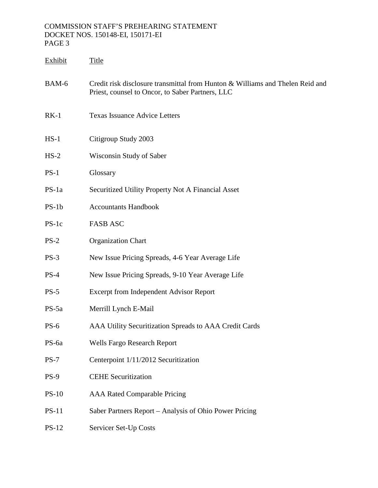| Exhibit      | <b>Title</b>                                                                                                                      |
|--------------|-----------------------------------------------------------------------------------------------------------------------------------|
| BAM-6        | Credit risk disclosure transmittal from Hunton & Williams and Thelen Reid and<br>Priest, counsel to Oncor, to Saber Partners, LLC |
| $RK-1$       | <b>Texas Issuance Advice Letters</b>                                                                                              |
| $HS-1$       | Citigroup Study 2003                                                                                                              |
| $HS-2$       | Wisconsin Study of Saber                                                                                                          |
| $PS-1$       | Glossary                                                                                                                          |
| $PS-1a$      | Securitized Utility Property Not A Financial Asset                                                                                |
| $PS-1b$      | <b>Accountants Handbook</b>                                                                                                       |
| $PS-1c$      | <b>FASB ASC</b>                                                                                                                   |
| $PS-2$       | <b>Organization Chart</b>                                                                                                         |
| $PS-3$       | New Issue Pricing Spreads, 4-6 Year Average Life                                                                                  |
| $PS-4$       | New Issue Pricing Spreads, 9-10 Year Average Life                                                                                 |
| $PS-5$       | <b>Excerpt from Independent Advisor Report</b>                                                                                    |
| $PS-5a$      | Merrill Lynch E-Mail                                                                                                              |
| $PS-6$       | AAA Utility Securitization Spreads to AAA Credit Cards                                                                            |
| PS-6a        | <b>Wells Fargo Research Report</b>                                                                                                |
| $PS-7$       | Centerpoint 1/11/2012 Securitization                                                                                              |
| $PS-9$       | <b>CEHE Securitization</b>                                                                                                        |
| $PS-10$      | <b>AAA Rated Comparable Pricing</b>                                                                                               |
| $PS-11$      | Saber Partners Report – Analysis of Ohio Power Pricing                                                                            |
| <b>PS-12</b> | Servicer Set-Up Costs                                                                                                             |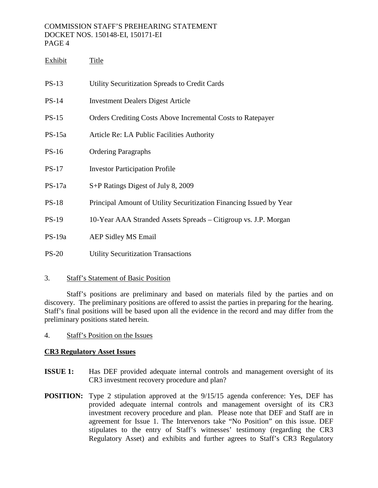| Exhibit      | Title                                                               |
|--------------|---------------------------------------------------------------------|
| $PS-13$      | Utility Securitization Spreads to Credit Cards                      |
| $PS-14$      | <b>Investment Dealers Digest Article</b>                            |
| $PS-15$      | Orders Crediting Costs Above Incremental Costs to Ratepayer         |
| $PS-15a$     | Article Re: LA Public Facilities Authority                          |
| $PS-16$      | <b>Ordering Paragraphs</b>                                          |
| $PS-17$      | <b>Investor Participation Profile</b>                               |
| $PS-17a$     | S+P Ratings Digest of July 8, 2009                                  |
| <b>PS-18</b> | Principal Amount of Utility Securitization Financing Issued by Year |
| $PS-19$      | 10-Year AAA Stranded Assets Spreads - Citigroup vs. J.P. Morgan     |
| $PS-19a$     | <b>AEP Sidley MS Email</b>                                          |
| $PS-20$      | <b>Utility Securitization Transactions</b>                          |

### 3. Staff's Statement of Basic Position

Staff's positions are preliminary and based on materials filed by the parties and on discovery. The preliminary positions are offered to assist the parties in preparing for the hearing. Staff's final positions will be based upon all the evidence in the record and may differ from the preliminary positions stated herein.

4. Staff's Position on the Issues

# **CR3 Regulatory Asset Issues**

- **ISSUE 1:** Has DEF provided adequate internal controls and management oversight of its CR3 investment recovery procedure and plan?
- **POSITION:** Type 2 stipulation approved at the  $9/15/15$  agenda conference: Yes, DEF has provided adequate internal controls and management oversight of its CR3 investment recovery procedure and plan. Please note that DEF and Staff are in agreement for Issue 1. The Intervenors take "No Position" on this issue. DEF stipulates to the entry of Staff's witnesses' testimony (regarding the CR3 Regulatory Asset) and exhibits and further agrees to Staff's CR3 Regulatory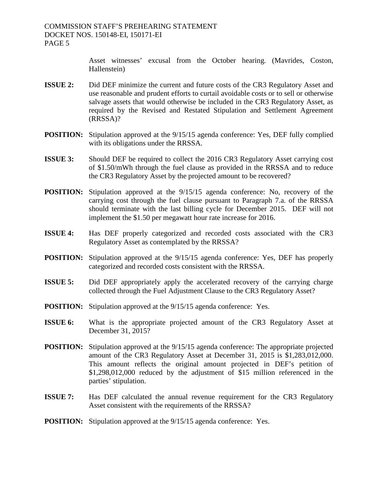Asset witnesses' excusal from the October hearing. (Mavrides, Coston, Hallenstein)

- **ISSUE 2:** Did DEF minimize the current and future costs of the CR3 Regulatory Asset and use reasonable and prudent efforts to curtail avoidable costs or to sell or otherwise salvage assets that would otherwise be included in the CR3 Regulatory Asset, as required by the Revised and Restated Stipulation and Settlement Agreement (RRSSA)?
- **POSITION:** Stipulation approved at the  $9/15/15$  agenda conference: Yes, DEF fully complied with its obligations under the RRSSA.
- **ISSUE 3:** Should DEF be required to collect the 2016 CR3 Regulatory Asset carrying cost of \$1.50/mWh through the fuel clause as provided in the RRSSA and to reduce the CR3 Regulatory Asset by the projected amount to be recovered?
- **POSITION:** Stipulation approved at the  $9/15/15$  agenda conference: No, recovery of the carrying cost through the fuel clause pursuant to Paragraph 7.a. of the RRSSA should terminate with the last billing cycle for December 2015. DEF will not implement the \$1.50 per megawatt hour rate increase for 2016.
- **ISSUE 4:** Has DEF properly categorized and recorded costs associated with the CR3 Regulatory Asset as contemplated by the RRSSA?
- **POSITION:** Stipulation approved at the  $9/15/15$  agenda conference: Yes, DEF has properly categorized and recorded costs consistent with the RRSSA.
- **ISSUE 5:** Did DEF appropriately apply the accelerated recovery of the carrying charge collected through the Fuel Adjustment Clause to the CR3 Regulatory Asset?
- **POSITION:** Stipulation approved at the  $9/15/15$  agenda conference: Yes.
- **ISSUE 6:** What is the appropriate projected amount of the CR3 Regulatory Asset at December 31, 2015?
- **POSITION:** Stipulation approved at the  $9/15/15$  agenda conference: The appropriate projected amount of the CR3 Regulatory Asset at December 31, 2015 is \$1,283,012,000. This amount reflects the original amount projected in DEF's petition of \$1,298,012,000 reduced by the adjustment of \$15 million referenced in the parties' stipulation.
- **ISSUE 7:** Has DEF calculated the annual revenue requirement for the CR3 Regulatory Asset consistent with the requirements of the RRSSA?
- **POSITION:** Stipulation approved at the 9/15/15 agenda conference: Yes.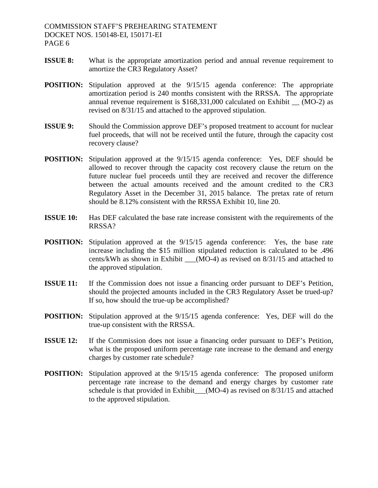- **ISSUE 8:** What is the appropriate amortization period and annual revenue requirement to amortize the CR3 Regulatory Asset?
- **POSITION:** Stipulation approved at the  $9/15/15$  agenda conference: The appropriate amortization period is 240 months consistent with the RRSSA. The appropriate annual revenue requirement is \$168,331,000 calculated on Exhibit \_\_ (MO-2) as revised on 8/31/15 and attached to the approved stipulation.
- **ISSUE 9:** Should the Commission approve DEF's proposed treatment to account for nuclear fuel proceeds, that will not be received until the future, through the capacity cost recovery clause?
- **POSITION:** Stipulation approved at the  $9/15/15$  agenda conference: Yes, DEF should be allowed to recover through the capacity cost recovery clause the return on the future nuclear fuel proceeds until they are received and recover the difference between the actual amounts received and the amount credited to the CR3 Regulatory Asset in the December 31, 2015 balance. The pretax rate of return should be 8.12% consistent with the RRSSA Exhibit 10, line 20.
- **ISSUE 10:** Has DEF calculated the base rate increase consistent with the requirements of the RRSSA?
- **POSITION:** Stipulation approved at the  $9/15/15$  agenda conference: Yes, the base rate increase including the \$15 million stipulated reduction is calculated to be .496 cents/kWh as shown in Exhibit  $\qquad (MO-4)$  as revised on 8/31/15 and attached to the approved stipulation.
- **ISSUE 11:** If the Commission does not issue a financing order pursuant to DEF's Petition, should the projected amounts included in the CR3 Regulatory Asset be trued-up? If so, how should the true-up be accomplished?
- **POSITION:** Stipulation approved at the  $9/15/15$  agenda conference: Yes, DEF will do the true-up consistent with the RRSSA.
- **ISSUE 12:** If the Commission does not issue a financing order pursuant to DEF's Petition, what is the proposed uniform percentage rate increase to the demand and energy charges by customer rate schedule?
- **POSITION:** Stipulation approved at the  $9/15/15$  agenda conference: The proposed uniform percentage rate increase to the demand and energy charges by customer rate schedule is that provided in Exhibit\_\_(MO-4) as revised on 8/31/15 and attached to the approved stipulation.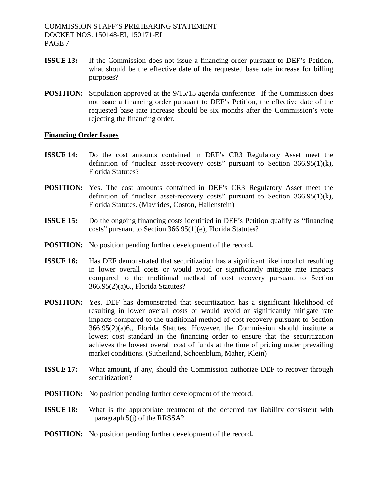- **ISSUE 13:** If the Commission does not issue a financing order pursuant to DEF's Petition, what should be the effective date of the requested base rate increase for billing purposes?
- **POSITION:** Stipulation approved at the  $9/15/15$  agenda conference: If the Commission does not issue a financing order pursuant to DEF's Petition, the effective date of the requested base rate increase should be six months after the Commission's vote rejecting the financing order.

#### **Financing Order Issues**

- **ISSUE 14:** Do the cost amounts contained in DEF's CR3 Regulatory Asset meet the definition of "nuclear asset-recovery costs" pursuant to Section  $366.95(1)(k)$ , Florida Statutes?
- **POSITION:** Yes. The cost amounts contained in DEF's CR3 Regulatory Asset meet the definition of "nuclear asset-recovery costs" pursuant to Section 366.95(1)(k), Florida Statutes. (Mavrides, Coston, Hallenstein)
- **ISSUE 15:** Do the ongoing financing costs identified in DEF's Petition qualify as "financing" costs" pursuant to Section 366.95(1)(e), Florida Statutes?
- **POSITION:** No position pending further development of the record**.**
- **ISSUE 16:** Has DEF demonstrated that securitization has a significant likelihood of resulting in lower overall costs or would avoid or significantly mitigate rate impacts compared to the traditional method of cost recovery pursuant to Section 366.95(2)(a)6., Florida Statutes?
- POSITION: Yes. DEF has demonstrated that securitization has a significant likelihood of resulting in lower overall costs or would avoid or significantly mitigate rate impacts compared to the traditional method of cost recovery pursuant to Section 366.95(2)(a)6., Florida Statutes. However, the Commission should institute a lowest cost standard in the financing order to ensure that the securitization achieves the lowest overall cost of funds at the time of pricing under prevailing market conditions. (Sutherland, Schoenblum, Maher, Klein)
- **ISSUE 17:** What amount, if any, should the Commission authorize DEF to recover through securitization?
- **POSITION:** No position pending further development of the record.
- **ISSUE 18:** What is the appropriate treatment of the deferred tax liability consistent with paragraph 5(j) of the RRSSA?
- **POSITION:** No position pending further development of the record**.**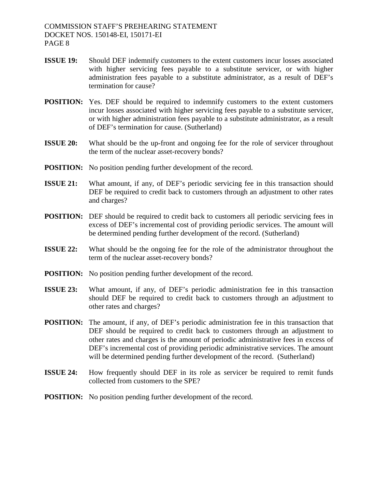- **ISSUE 19:** Should DEF indemnify customers to the extent customers incur losses associated with higher servicing fees payable to a substitute servicer, or with higher administration fees payable to a substitute administrator, as a result of DEF's termination for cause?
- **POSITION:** Yes. DEF should be required to indemnify customers to the extent customers incur losses associated with higher servicing fees payable to a substitute servicer, or with higher administration fees payable to a substitute administrator, as a result of DEF's termination for cause. (Sutherland)
- **ISSUE 20:** What should be the up-front and ongoing fee for the role of servicer throughout the term of the nuclear asset-recovery bonds?
- **POSITION:** No position pending further development of the record.
- **ISSUE 21:** What amount, if any, of DEF's periodic servicing fee in this transaction should DEF be required to credit back to customers through an adjustment to other rates and charges?
- **POSITION:** DEF should be required to credit back to customers all periodic servicing fees in excess of DEF's incremental cost of providing periodic services. The amount will be determined pending further development of the record. (Sutherland)
- **ISSUE 22:** What should be the ongoing fee for the role of the administrator throughout the term of the nuclear asset-recovery bonds?
- **POSITION:** No position pending further development of the record.
- **ISSUE 23:** What amount, if any, of DEF's periodic administration fee in this transaction should DEF be required to credit back to customers through an adjustment to other rates and charges?
- **POSITION:** The amount, if any, of DEF's periodic administration fee in this transaction that DEF should be required to credit back to customers through an adjustment to other rates and charges is the amount of periodic administrative fees in excess of DEF's incremental cost of providing periodic administrative services. The amount will be determined pending further development of the record. (Sutherland)
- **ISSUE 24:** How frequently should DEF in its role as servicer be required to remit funds collected from customers to the SPE?
- **POSITION:** No position pending further development of the record.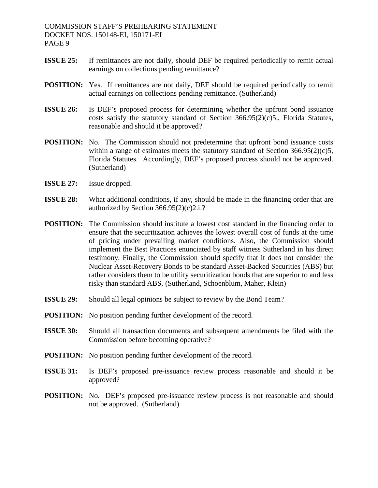- **ISSUE 25:** If remittances are not daily, should DEF be required periodically to remit actual earnings on collections pending remittance?
- **POSITION:** Yes. If remittances are not daily, DEF should be required periodically to remit actual earnings on collections pending remittance. (Sutherland)
- **ISSUE 26:** Is DEF's proposed process for determining whether the upfront bond issuance costs satisfy the statutory standard of Section 366.95(2)(c)5., Florida Statutes, reasonable and should it be approved?
- **POSITION:** No. The Commission should not predetermine that upfront bond issuance costs within a range of estimates meets the statutory standard of Section  $366.95(2)(c)5$ , Florida Statutes. Accordingly, DEF's proposed process should not be approved. (Sutherland)
- **ISSUE 27:** Issue dropped.
- **ISSUE 28:** What additional conditions, if any, should be made in the financing order that are authorized by Section  $366.95(2)(c)2.i.$ ?
- **POSITION:** The Commission should institute a lowest cost standard in the financing order to ensure that the securitization achieves the lowest overall cost of funds at the time of pricing under prevailing market conditions. Also, the Commission should implement the Best Practices enunciated by staff witness Sutherland in his direct testimony. Finally, the Commission should specify that it does not consider the Nuclear Asset-Recovery Bonds to be standard Asset-Backed Securities (ABS) but rather considers them to be utility securitization bonds that are superior to and less risky than standard ABS. (Sutherland, Schoenblum, Maher, Klein)
- **ISSUE 29:** Should all legal opinions be subject to review by the Bond Team?
- **POSITION:** No position pending further development of the record.
- **ISSUE 30:** Should all transaction documents and subsequent amendments be filed with the Commission before becoming operative?
- **POSITION:** No position pending further development of the record.
- **ISSUE 31:** Is DEF's proposed pre-issuance review process reasonable and should it be approved?
- **POSITION:** No. DEF's proposed pre-issuance review process is not reasonable and should not be approved. (Sutherland)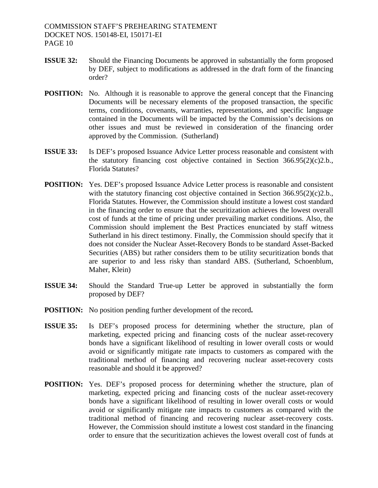- **ISSUE 32:** Should the Financing Documents be approved in substantially the form proposed by DEF, subject to modifications as addressed in the draft form of the financing order?
- **POSITION:** No. Although it is reasonable to approve the general concept that the Financing Documents will be necessary elements of the proposed transaction, the specific terms, conditions, covenants, warranties, representations, and specific language contained in the Documents will be impacted by the Commission's decisions on other issues and must be reviewed in consideration of the financing order approved by the Commission. (Sutherland)
- **ISSUE 33:** Is DEF's proposed Issuance Advice Letter process reasonable and consistent with the statutory financing cost objective contained in Section  $366.95(2)(c)2.b.,$ Florida Statutes?
- **POSITION:** Yes. DEF's proposed Issuance Advice Letter process is reasonable and consistent with the statutory financing cost objective contained in Section 366.95(2)(c)2.b., Florida Statutes. However, the Commission should institute a lowest cost standard in the financing order to ensure that the securitization achieves the lowest overall cost of funds at the time of pricing under prevailing market conditions. Also, the Commission should implement the Best Practices enunciated by staff witness Sutherland in his direct testimony. Finally, the Commission should specify that it does not consider the Nuclear Asset-Recovery Bonds to be standard Asset-Backed Securities (ABS) but rather considers them to be utility securitization bonds that are superior to and less risky than standard ABS. (Sutherland, Schoenblum, Maher, Klein)
- **ISSUE 34:** Should the Standard True-up Letter be approved in substantially the form proposed by DEF?
- **POSITION:** No position pending further development of the record**.**
- **ISSUE 35:** Is DEF's proposed process for determining whether the structure, plan of marketing, expected pricing and financing costs of the nuclear asset-recovery bonds have a significant likelihood of resulting in lower overall costs or would avoid or significantly mitigate rate impacts to customers as compared with the traditional method of financing and recovering nuclear asset-recovery costs reasonable and should it be approved?
- **POSITION:** Yes. DEF's proposed process for determining whether the structure, plan of marketing, expected pricing and financing costs of the nuclear asset-recovery bonds have a significant likelihood of resulting in lower overall costs or would avoid or significantly mitigate rate impacts to customers as compared with the traditional method of financing and recovering nuclear asset-recovery costs. However, the Commission should institute a lowest cost standard in the financing order to ensure that the securitization achieves the lowest overall cost of funds at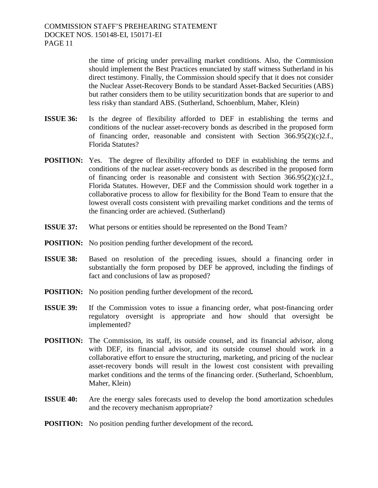the time of pricing under prevailing market conditions. Also, the Commission should implement the Best Practices enunciated by staff witness Sutherland in his direct testimony. Finally, the Commission should specify that it does not consider the Nuclear Asset-Recovery Bonds to be standard Asset-Backed Securities (ABS) but rather considers them to be utility securitization bonds that are superior to and less risky than standard ABS. (Sutherland, Schoenblum, Maher, Klein)

- **ISSUE 36:** Is the degree of flexibility afforded to DEF in establishing the terms and conditions of the nuclear asset-recovery bonds as described in the proposed form of financing order, reasonable and consistent with Section  $366.95(2)(c)2.f.,$ Florida Statutes?
- **POSITION:** Yes. The degree of flexibility afforded to DEF in establishing the terms and conditions of the nuclear asset-recovery bonds as described in the proposed form of financing order is reasonable and consistent with Section  $366.95(2)(c)2.f.,$ Florida Statutes. However, DEF and the Commission should work together in a collaborative process to allow for flexibility for the Bond Team to ensure that the lowest overall costs consistent with prevailing market conditions and the terms of the financing order are achieved. (Sutherland)
- **ISSUE 37:** What persons or entities should be represented on the Bond Team?
- **POSITION:** No position pending further development of the record**.**
- **ISSUE 38:** Based on resolution of the preceding issues, should a financing order in substantially the form proposed by DEF be approved, including the findings of fact and conclusions of law as proposed?
- **POSITION:** No position pending further development of the record**.**
- **ISSUE 39:** If the Commission votes to issue a financing order, what post-financing order regulatory oversight is appropriate and how should that oversight be implemented?
- **POSITION:** The Commission, its staff, its outside counsel, and its financial advisor, along with DEF, its financial advisor, and its outside counsel should work in a collaborative effort to ensure the structuring, marketing, and pricing of the nuclear asset-recovery bonds will result in the lowest cost consistent with prevailing market conditions and the terms of the financing order. (Sutherland, Schoenblum, Maher, Klein)
- **ISSUE 40:** Are the energy sales forecasts used to develop the bond amortization schedules and the recovery mechanism appropriate?
- **POSITION:** No position pending further development of the record**.**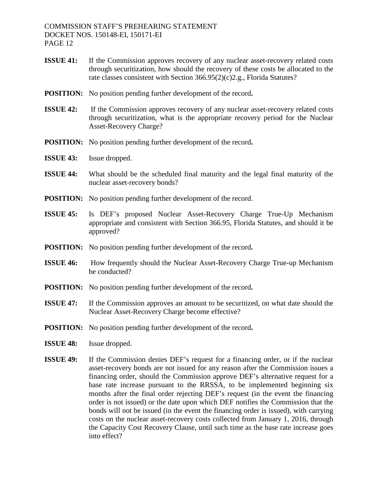- **ISSUE 41:** If the Commission approves recovery of any nuclear asset-recovery related costs through securitization, how should the recovery of these costs be allocated to the rate classes consistent with Section 366.95(2)(c)2.g., Florida Statutes?
- **POSITION:** No position pending further development of the record**.**
- **ISSUE 42:** If the Commission approves recovery of any nuclear asset-recovery related costs through securitization, what is the appropriate recovery period for the Nuclear Asset-Recovery Charge?
- **POSITION:** No position pending further development of the record**.**
- **ISSUE 43:** Issue dropped.
- **ISSUE 44:** What should be the scheduled final maturity and the legal final maturity of the nuclear asset-recovery bonds?
- **POSITION:** No position pending further development of the record.
- **ISSUE 45:** Is DEF's proposed Nuclear Asset-Recovery Charge True-Up Mechanism appropriate and consistent with Section 366.95, Florida Statutes, and should it be approved?
- **POSITION:** No position pending further development of the record**.**
- **ISSUE 46:** How frequently should the Nuclear Asset-Recovery Charge True-up Mechanism be conducted?
- **POSITION:** No position pending further development of the record**.**
- **ISSUE 47:** If the Commission approves an amount to be securitized, on what date should the Nuclear Asset-Recovery Charge become effective?
- **POSITION:** No position pending further development of the record**.**
- **ISSUE 48:** Issue dropped.
- **ISSUE 49:** If the Commission denies DEF's request for a financing order, or if the nuclear asset-recovery bonds are not issued for any reason after the Commission issues a financing order, should the Commission approve DEF's alternative request for a base rate increase pursuant to the RRSSA, to be implemented beginning six months after the final order rejecting DEF's request (in the event the financing order is not issued) or the date upon which DEF notifies the Commission that the bonds will not be issued (in the event the financing order is issued), with carrying costs on the nuclear asset-recovery costs collected from January 1, 2016, through the Capacity Cost Recovery Clause, until such time as the base rate increase goes into effect?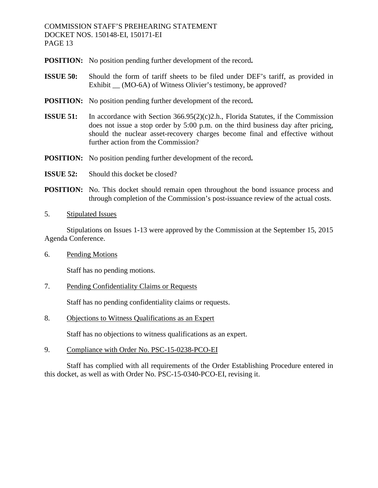- **POSITION:** No position pending further development of the record**.**
- **ISSUE 50:** Should the form of tariff sheets to be filed under DEF's tariff, as provided in Exhibit \_\_ (MO-6A) of Witness Olivier's testimony, be approved?
- **POSITION:** No position pending further development of the record**.**
- **ISSUE 51:** In accordance with Section 366.95(2)(c)2.h., Florida Statutes, if the Commission does not issue a stop order by 5:00 p.m. on the third business day after pricing, should the nuclear asset-recovery charges become final and effective without further action from the Commission?
- **POSITION:** No position pending further development of the record**.**
- **ISSUE 52:** Should this docket be closed?
- **POSITION:** No. This docket should remain open throughout the bond issuance process and through completion of the Commission's post-issuance review of the actual costs.
- 5. Stipulated Issues

Stipulations on Issues 1-13 were approved by the Commission at the September 15, 2015 Agenda Conference.

6. Pending Motions

Staff has no pending motions.

7. Pending Confidentiality Claims or Requests

Staff has no pending confidentiality claims or requests.

8. Objections to Witness Qualifications as an Expert

Staff has no objections to witness qualifications as an expert.

9. Compliance with Order No. PSC-15-0238-PCO-EI

Staff has complied with all requirements of the Order Establishing Procedure entered in this docket, as well as with Order No. PSC-15-0340-PCO-EI, revising it.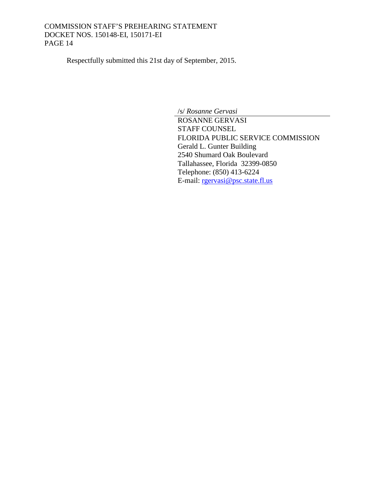<span id="page-13-2"></span><span id="page-13-1"></span>Respectfully submitted this 21st day of September, 2015.

<span id="page-13-0"></span>/s/ *Rosanne Gervasi* ROSANNE GERVASI STAFF COUNSEL FLORIDA PUBLIC SERVICE COMMISSION Gerald L. Gunter Building 2540 Shumard Oak Boulevard Tallahassee, Florida 32399-0850 Telephone: (850) 413-6224 E-mail: [rgervasi@psc.state.fl.us](mailto:rgervasi@psc.state.fl.us)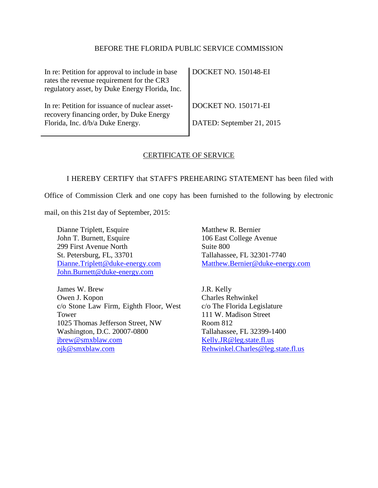#### [BEFORE THE FLORIDA PUBLIC SERVICE COMMISSION](#page-0-1)

| In re: Petition for approval to include in base<br>rates the revenue requirement for the CR3<br>regulatory asset, by Duke Energy Florida, Inc. | DOCKET NO. 150148-EI                                     |
|------------------------------------------------------------------------------------------------------------------------------------------------|----------------------------------------------------------|
| In re: Petition for issuance of nuclear asset-<br>recovery financing order, by Duke Energy<br>Florida, Inc. d/b/a Duke Energy.                 | <b>DOCKET NO. 150171-EI</b><br>DATED: September 21, 2015 |

#### CERTIFICATE OF SERVICE

I HEREBY CERTIFY that STAFF'S PREHEARING STATEMENT has been filed with

Office of Commission Clerk and one copy has been furnished to the following by electronic

mail, on this [21st day of September, 2015:](#page-13-0)

Dianne Triplett, Esquire John T. Burnett, Esquire 299 First Avenue North St. Petersburg, FL, 33701 [Dianne.Triplett@duke-energy.com](mailto:Dianne.Triplett@duke-energy.com) John.Burnett@duke-energy.com

James W. Brew Owen J. Kopon c/o Stone Law Firm, Eighth Floor, West Tower 1025 Thomas Jefferson Street, NW Washington, D.C. 20007-0800 [jbrew@smxblaw.com](mailto:jbrew@smxblaw.com) [ojk@smxblaw.com](mailto:ojk@smxblaw.com)

Matthew R. Bernier 106 East College Avenue Suite 800 Tallahassee, FL 32301-7740 [Matthew.Bernier@duke-energy.com](mailto:Matthew.Bernier@duke-energy.com)

J.R. Kelly Charles Rehwinkel c/o The Florida Legislature 111 W. Madison Street Room 812 Tallahassee, FL 32399-1400 [Kelly.JR@leg.state.fl.us](mailto:Kelly.JR@leg.state.fl.us) [Rehwinkel.Charles@leg.state.fl.us](mailto:Rehwinkel.Charles@leg.state.fl.us)